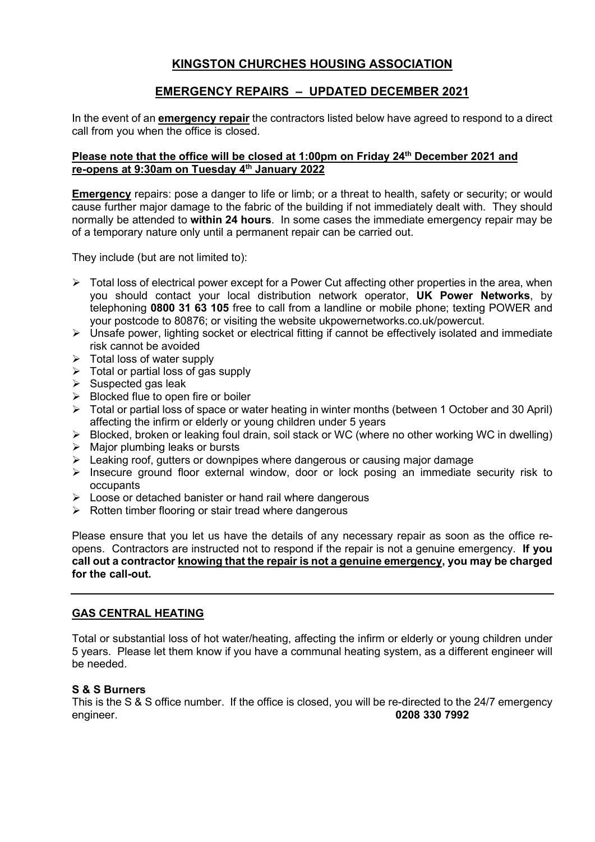# KINGSTON CHURCHES HOUSING ASSOCIATION

# EMERGENCY REPAIRS – UPDATED DECEMBER 2021

In the event of an **emergency repair** the contractors listed below have agreed to respond to a direct call from you when the office is closed.

## Please note that the office will be closed at 1:00pm on Friday 24<sup>th</sup> December 2021 and re-opens at 9:30am on Tuesday 4<sup>th</sup> January 2022

Emergency repairs: pose a danger to life or limb; or a threat to health, safety or security; or would cause further major damage to the fabric of the building if not immediately dealt with. They should normally be attended to **within 24 hours**. In some cases the immediate emergency repair may be of a temporary nature only until a permanent repair can be carried out.

They include (but are not limited to):

- $\triangleright$  Total loss of electrical power except for a Power Cut affecting other properties in the area, when you should contact your local distribution network operator. **UK Power Networks**, by telephoning 0800 31 63 105 free to call from a landline or mobile phone; texting POWER and your postcode to 80876; or visiting the website ukpowernetworks.co.uk/powercut.
- $\triangleright$  Unsafe power, lighting socket or electrical fitting if cannot be effectively isolated and immediate risk cannot be avoided
- $\triangleright$  Total loss of water supply
- $\triangleright$  Total or partial loss of gas supply
- $\triangleright$  Suspected gas leak
- $\triangleright$  Blocked flue to open fire or boiler
- Total or partial loss of space or water heating in winter months (between 1 October and 30 April) affecting the infirm or elderly or young children under 5 years
- Blocked, broken or leaking foul drain, soil stack or WC (where no other working WC in dwelling)
- $\triangleright$  Major plumbing leaks or bursts
- $\triangleright$  Leaking roof, gutters or downpipes where dangerous or causing major damage
- $\triangleright$  Insecure ground floor external window, door or lock posing an immediate security risk to occupants
- $\triangleright$  Loose or detached banister or hand rail where dangerous
- $\triangleright$  Rotten timber flooring or stair tread where dangerous

Please ensure that you let us have the details of any necessary repair as soon as the office reopens. Contractors are instructed not to respond if the repair is not a genuine emergency. If you call out a contractor knowing that the repair is not a genuine emergency, you may be charged for the call-out.

## GAS CENTRAL HEATING

Total or substantial loss of hot water/heating, affecting the infirm or elderly or young children under 5 years. Please let them know if you have a communal heating system, as a different engineer will be needed.

#### S & S Burners

This is the S & S office number. If the office is closed, you will be re-directed to the 24/7 emergency engineer. 0208 330 7992